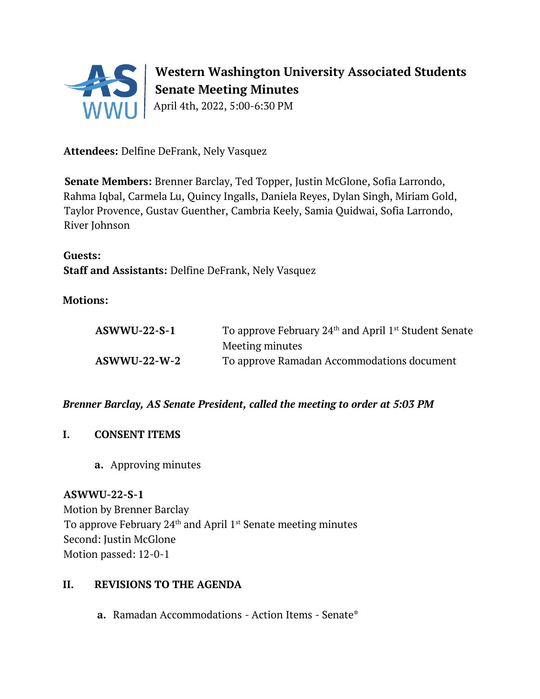

# **Western Washington University Associated Students Senate Meeting Minutes**

April 4th, 2022, 5:00-6:30 PM

**Attendees:** Delfine DeFrank, Nely Vasquez

**Senate Members:** Brenner Barclay, Ted Topper, Justin McGlone, Sofia Larrondo, Rahma Iqbal, Carmela Lu, Quincy Ingalls, Daniela Reyes, Dylan Singh, Miriam Gold, Taylor Provence, Gustav Guenther, Cambria Keely, Samia Quidwai, Sofia Larrondo, River Johnson

**Guests: Staff and Assistants:** Delfine DeFrank, Nely Vasquez

# **Motions:**

| $ASWWU-22-S-1$ | To approve February $24th$ and April 1 <sup>st</sup> Student Senate |
|----------------|---------------------------------------------------------------------|
|                | Meeting minutes                                                     |
| $ASWWU-22-W-2$ | To approve Ramadan Accommodations document                          |

*Brenner Barclay, AS Senate President, called the meeting to order at 5:03 PM* 

- **I. CONSENT ITEMS**
	- **a.** Approving minutes

**ASWWU-22-S-1** Motion by Brenner Barclay To approve February  $24<sup>th</sup>$  and April 1<sup>st</sup> Senate meeting minutes Second: Justin McGlone Motion passed: 12-0-1

## **II. REVISIONS TO THE AGENDA**

**a.** Ramadan Accommodations - Action Items - Senate\*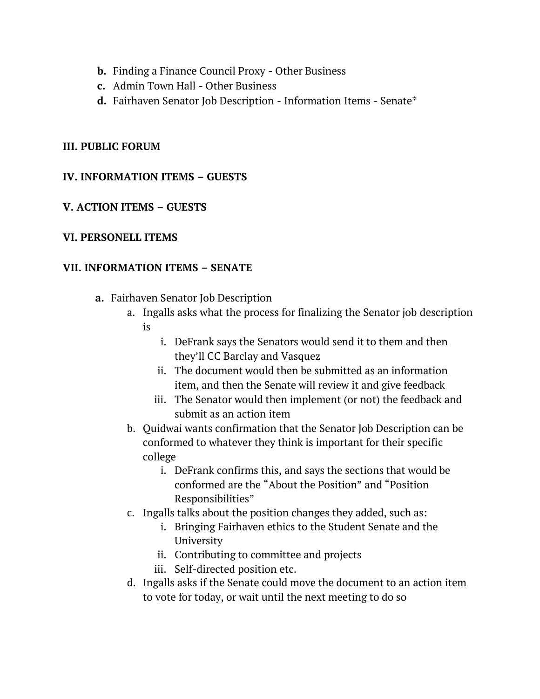- **b.** Finding a Finance Council Proxy Other Business
- **c.** Admin Town Hall Other Business
- **d.** Fairhaven Senator Job Description Information Items Senate\*

#### **III. PUBLIC FORUM**

#### **IV. INFORMATION ITEMS – GUESTS**

#### **V. ACTION ITEMS – GUESTS**

#### **VI. PERSONELL ITEMS**

#### **VII. INFORMATION ITEMS – SENATE**

- **a.** Fairhaven Senator Job Description
	- a. Ingalls asks what the process for finalizing the Senator job description is
		- i. DeFrank says the Senators would send it to them and then they'll CC Barclay and Vasquez
		- ii. The document would then be submitted as an information item, and then the Senate will review it and give feedback
		- iii. The Senator would then implement (or not) the feedback and submit as an action item
	- b. Quidwai wants confirmation that the Senator Job Description can be conformed to whatever they think is important for their specific college
		- i. DeFrank confirms this, and says the sections that would be conformed are the "About the Position" and "Position Responsibilities"
	- c. Ingalls talks about the position changes they added, such as:
		- i. Bringing Fairhaven ethics to the Student Senate and the University
		- ii. Contributing to committee and projects
		- iii. Self-directed position etc.
	- d. Ingalls asks if the Senate could move the document to an action item to vote for today, or wait until the next meeting to do so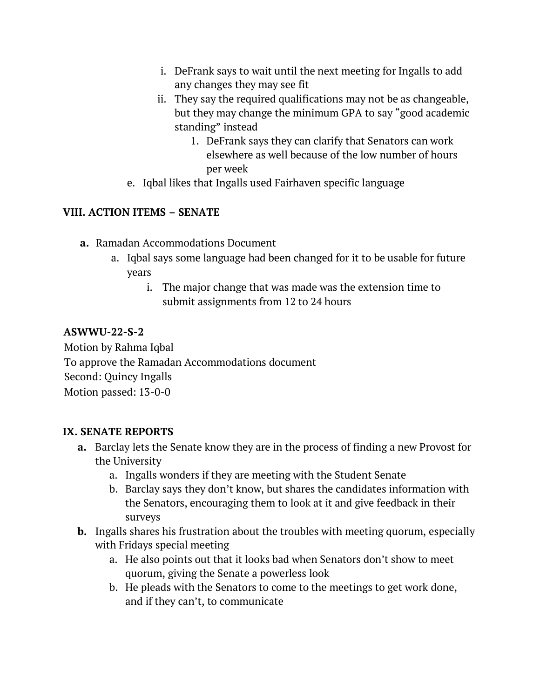- i. DeFrank says to wait until the next meeting for Ingalls to add any changes they may see fit
- ii. They say the required qualifications may not be as changeable, but they may change the minimum GPA to say "good academic standing" instead
	- 1. DeFrank says they can clarify that Senators can work elsewhere as well because of the low number of hours per week
- e. Iqbal likes that Ingalls used Fairhaven specific language

# **VIII. ACTION ITEMS – SENATE**

- **a.** Ramadan Accommodations Document
	- a. Iqbal says some language had been changed for it to be usable for future years
		- i. The major change that was made was the extension time to submit assignments from 12 to 24 hours

## **ASWWU-22-S-2**

Motion by Rahma Iqbal To approve the Ramadan Accommodations document Second: Quincy Ingalls Motion passed: 13-0-0

## **IX. SENATE REPORTS**

- **a.** Barclay lets the Senate know they are in the process of finding a new Provost for the University
	- a. Ingalls wonders if they are meeting with the Student Senate
	- b. Barclay says they don't know, but shares the candidates information with the Senators, encouraging them to look at it and give feedback in their surveys
- **b.** Ingalls shares his frustration about the troubles with meeting quorum, especially with Fridays special meeting
	- a. He also points out that it looks bad when Senators don't show to meet quorum, giving the Senate a powerless look
	- b. He pleads with the Senators to come to the meetings to get work done, and if they can't, to communicate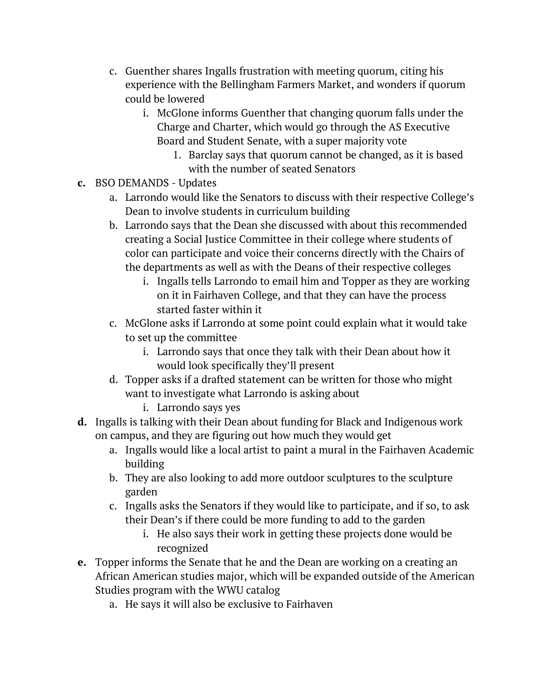- c. Guenther shares Ingalls frustration with meeting quorum, citing his experience with the Bellingham Farmers Market, and wonders if quorum could be lowered
	- i. McGlone informs Guenther that changing quorum falls under the Charge and Charter, which would go through the AS Executive Board and Student Senate, with a super majority vote
		- 1. Barclay says that quorum cannot be changed, as it is based with the number of seated Senators
- **c.** BSO DEMANDS Updates
	- a. Larrondo would like the Senators to discuss with their respective College's Dean to involve students in curriculum building
	- b. Larrondo says that the Dean she discussed with about this recommended creating a Social Justice Committee in their college where students of color can participate and voice their concerns directly with the Chairs of the departments as well as with the Deans of their respective colleges
		- i. Ingalls tells Larrondo to email him and Topper as they are working on it in Fairhaven College, and that they can have the process started faster within it
	- c. McGlone asks if Larrondo at some point could explain what it would take to set up the committee
		- i. Larrondo says that once they talk with their Dean about how it would look specifically they'll present
	- d. Topper asks if a drafted statement can be written for those who might want to investigate what Larrondo is asking about
		- i. Larrondo says yes
- **d.** Ingalls is talking with their Dean about funding for Black and Indigenous work on campus, and they are figuring out how much they would get
	- a. Ingalls would like a local artist to paint a mural in the Fairhaven Academic building
	- b. They are also looking to add more outdoor sculptures to the sculpture garden
	- c. Ingalls asks the Senators if they would like to participate, and if so, to ask their Dean's if there could be more funding to add to the garden
		- i. He also says their work in getting these projects done would be recognized
- **e.** Topper informs the Senate that he and the Dean are working on a creating an African American studies major, which will be expanded outside of the American Studies program with the WWU catalog
	- a. He says it will also be exclusive to Fairhaven